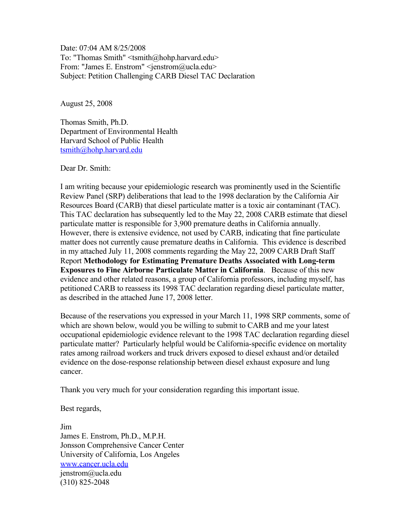Date: 07:04 AM 8/25/2008 To: "Thomas Smith" <tsmith@hohp.harvard.edu> From: "James E. Enstrom" <jenstrom@ucla.edu> Subject: Petition Challenging CARB Diesel TAC Declaration

August 25, 2008

Thomas Smith, Ph.D. Department of Environmental Health Harvard School of Public Health [tsmith@hohp.harvard.edu](mailto:tsmith@hohp.harvard.edu)

Dear Dr. Smith:

I am writing because your epidemiologic research was prominently used in the Scientific Review Panel (SRP) deliberations that lead to the 1998 declaration by the California Air Resources Board (CARB) that diesel particulate matter is a toxic air contaminant (TAC). This TAC declaration has subsequently led to the May 22, 2008 CARB estimate that diesel particulate matter is responsible for 3,900 premature deaths in California annually. However, there is extensive evidence, not used by CARB, indicating that fine particulate matter does not currently cause premature deaths in California. This evidence is described in my attached July 11, 2008 comments regarding the May 22, 2009 CARB Draft Staff Report **Methodology for Estimating Premature Deaths Associated with Long-term Exposures to Fine Airborne Particulate Matter in California**. Because of this new evidence and other related reasons, a group of California professors, including myself, has petitioned CARB to reassess its 1998 TAC declaration regarding diesel particulate matter, as described in the attached June 17, 2008 letter.

Because of the reservations you expressed in your March 11, 1998 SRP comments, some of which are shown below, would you be willing to submit to CARB and me your latest occupational epidemiologic evidence relevant to the 1998 TAC declaration regarding diesel particulate matter? Particularly helpful would be California-specific evidence on mortality rates among railroad workers and truck drivers exposed to diesel exhaust and/or detailed evidence on the dose-response relationship between diesel exhaust exposure and lung cancer.

Thank you very much for your consideration regarding this important issue.

Best regards,

Jim James E. Enstrom, Ph.D., M.P.H. Jonsson Comprehensive Cancer Center University of California, Los Angeles [www.cancer.ucla.edu](http://www.cancer.ucla.edu/) jenstrom@ucla.edu (310) 825-2048